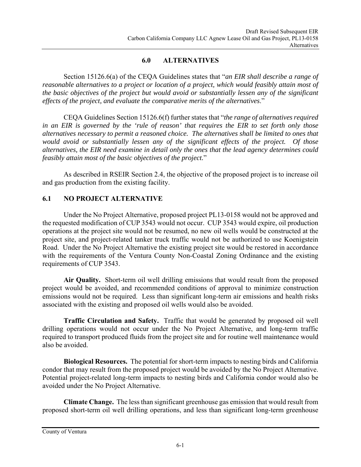### **6.0 ALTERNATIVES**

Section 15126.6(a) of the CEQA Guidelines states that "*an EIR shall describe a range of reasonable alternatives to a project or location of a project, which would feasibly attain most of the basic objectives of the project but would avoid or substantially lessen any of the significant effects of the project, and evaluate the comparative merits of the alternatives*."

CEQA Guidelines Section 15126.6(f) further states that "*the range of alternatives required in an EIR is governed by the 'rule of reason' that requires the EIR to set forth only those alternatives necessary to permit a reasoned choice. The alternatives shall be limited to ones that would avoid or substantially lessen any of the significant effects of the project. Of those alternatives, the EIR need examine in detail only the ones that the lead agency determines could feasibly attain most of the basic objectives of the project.*"

As described in RSEIR Section 2.4, the objective of the proposed project is to increase oil and gas production from the existing facility.

# **6.1 NO PROJECT ALTERNATIVE**

 Under the No Project Alternative, proposed project PL13-0158 would not be approved and the requested modification of CUP 3543 would not occur. CUP 3543 would expire, oil production operations at the project site would not be resumed, no new oil wells would be constructed at the project site, and project-related tanker truck traffic would not be authorized to use Koenigstein Road. Under the No Project Alternative the existing project site would be restored in accordance with the requirements of the Ventura County Non-Coastal Zoning Ordinance and the existing requirements of CUP 3543.

**Air Quality.** Short-term oil well drilling emissions that would result from the proposed project would be avoided, and recommended conditions of approval to minimize construction emissions would not be required. Less than significant long-term air emissions and health risks associated with the existing and proposed oil wells would also be avoided.

**Traffic Circulation and Safety.** Traffic that would be generated by proposed oil well drilling operations would not occur under the No Project Alternative, and long-term traffic required to transport produced fluids from the project site and for routine well maintenance would also be avoided.

**Biological Resources.** The potential for short-term impacts to nesting birds and California condor that may result from the proposed project would be avoided by the No Project Alternative. Potential project-related long-term impacts to nesting birds and California condor would also be avoided under the No Project Alternative.

**Climate Change.** The less than significant greenhouse gas emission that would result from proposed short-term oil well drilling operations, and less than significant long-term greenhouse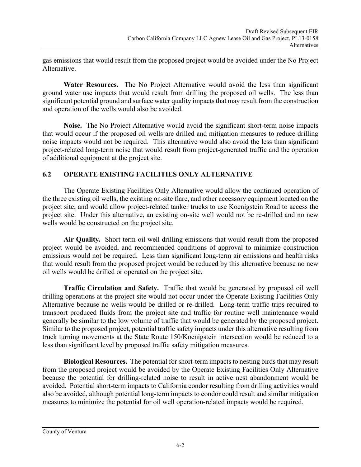gas emissions that would result from the proposed project would be avoided under the No Project Alternative.

**Water Resources.** The No Project Alternative would avoid the less than significant ground water use impacts that would result from drilling the proposed oil wells. The less than significant potential ground and surface water quality impacts that may result from the construction and operation of the wells would also be avoided.

**Noise.** The No Project Alternative would avoid the significant short-term noise impacts that would occur if the proposed oil wells are drilled and mitigation measures to reduce drilling noise impacts would not be required. This alternative would also avoid the less than significant project-related long-term noise that would result from project-generated traffic and the operation of additional equipment at the project site.

# **6.2 OPERATE EXISTING FACILITIES ONLY ALTERNATIVE**

The Operate Existing Facilities Only Alternative would allow the continued operation of the three existing oil wells, the existing on-site flare, and other accessory equipment located on the project site; and would allow project-related tanker trucks to use Koenigstein Road to access the project site. Under this alternative, an existing on-site well would not be re-drilled and no new wells would be constructed on the project site.

**Air Quality.** Short-term oil well drilling emissions that would result from the proposed project would be avoided, and recommended conditions of approval to minimize construction emissions would not be required. Less than significant long-term air emissions and health risks that would result from the proposed project would be reduced by this alternative because no new oil wells would be drilled or operated on the project site.

**Traffic Circulation and Safety.** Traffic that would be generated by proposed oil well drilling operations at the project site would not occur under the Operate Existing Facilities Only Alternative because no wells would be drilled or re-drilled. Long-term traffic trips required to transport produced fluids from the project site and traffic for routine well maintenance would generally be similar to the low volume of traffic that would be generated by the proposed project. Similar to the proposed project, potential traffic safety impacts under this alternative resulting from truck turning movements at the State Route 150/Koenigstein intersection would be reduced to a less than significant level by proposed traffic safety mitigation measures.

**Biological Resources.** The potential for short-term impacts to nesting birds that may result from the proposed project would be avoided by the Operate Existing Facilities Only Alternative because the potential for drilling-related noise to result in active nest abandonment would be avoided. Potential short-term impacts to California condor resulting from drilling activities would also be avoided, although potential long-term impacts to condor could result and similar mitigation measures to minimize the potential for oil well operation-related impacts would be required.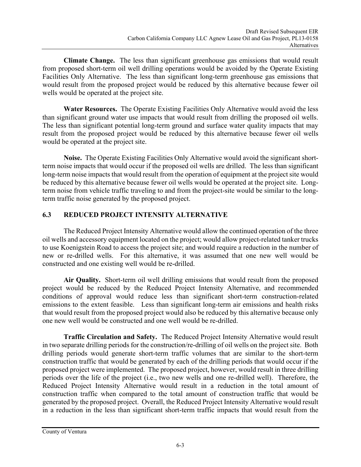**Climate Change.** The less than significant greenhouse gas emissions that would result from proposed short-term oil well drilling operations would be avoided by the Operate Existing Facilities Only Alternative. The less than significant long-term greenhouse gas emissions that would result from the proposed project would be reduced by this alternative because fewer oil wells would be operated at the project site.

**Water Resources.** The Operate Existing Facilities Only Alternative would avoid the less than significant ground water use impacts that would result from drilling the proposed oil wells. The less than significant potential long-term ground and surface water quality impacts that may result from the proposed project would be reduced by this alternative because fewer oil wells would be operated at the project site.

**Noise.** The Operate Existing Facilities Only Alternative would avoid the significant shortterm noise impacts that would occur if the proposed oil wells are drilled. The less than significant long-term noise impacts that would result from the operation of equipment at the project site would be reduced by this alternative because fewer oil wells would be operated at the project site. Longterm noise from vehicle traffic traveling to and from the project-site would be similar to the longterm traffic noise generated by the proposed project.

# **6.3 REDUCED PROJECT INTENSITY ALTERNATIVE**

The Reduced Project Intensity Alternative would allow the continued operation of the three oil wells and accessory equipment located on the project; would allow project-related tanker trucks to use Koenigstein Road to access the project site; and would require a reduction in the number of new or re-drilled wells. For this alternative, it was assumed that one new well would be constructed and one existing well would be re-drilled.

**Air Quality.** Short-term oil well drilling emissions that would result from the proposed project would be reduced by the Reduced Project Intensity Alternative, and recommended conditions of approval would reduce less than significant short-term construction-related emissions to the extent feasible. Less than significant long-term air emissions and health risks that would result from the proposed project would also be reduced by this alternative because only one new well would be constructed and one well would be re-drilled.

**Traffic Circulation and Safety.** The Reduced Project Intensity Alternative would result in two separate drilling periods for the construction/re-drilling of oil wells on the project site. Both drilling periods would generate short-term traffic volumes that are similar to the short-term construction traffic that would be generated by each of the drilling periods that would occur if the proposed project were implemented. The proposed project, however, would result in three drilling periods over the life of the project (i.e., two new wells and one re-drilled well). Therefore, the Reduced Project Intensity Alternative would result in a reduction in the total amount of construction traffic when compared to the total amount of construction traffic that would be generated by the proposed project. Overall, the Reduced Project Intensity Alternative would result in a reduction in the less than significant short-term traffic impacts that would result from the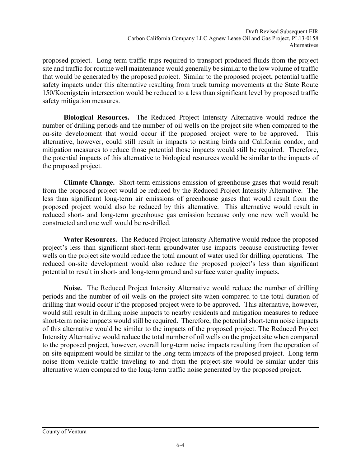proposed project. Long-term traffic trips required to transport produced fluids from the project site and traffic for routine well maintenance would generally be similar to the low volume of traffic that would be generated by the proposed project. Similar to the proposed project, potential traffic safety impacts under this alternative resulting from truck turning movements at the State Route 150/Koenigstein intersection would be reduced to a less than significant level by proposed traffic safety mitigation measures.

**Biological Resources.** The Reduced Project Intensity Alternative would reduce the number of drilling periods and the number of oil wells on the project site when compared to the on-site development that would occur if the proposed project were to be approved. This alternative, however, could still result in impacts to nesting birds and California condor, and mitigation measures to reduce those potential those impacts would still be required. Therefore, the potential impacts of this alternative to biological resources would be similar to the impacts of the proposed project.

**Climate Change.** Short-term emissions emission of greenhouse gases that would result from the proposed project would be reduced by the Reduced Project Intensity Alternative. The less than significant long-term air emissions of greenhouse gases that would result from the proposed project would also be reduced by this alternative. This alternative would result in reduced short- and long-term greenhouse gas emission because only one new well would be constructed and one well would be re-drilled.

**Water Resources.** The Reduced Project Intensity Alternative would reduce the proposed project's less than significant short-term groundwater use impacts because constructing fewer wells on the project site would reduce the total amount of water used for drilling operations. The reduced on-site development would also reduce the proposed project's less than significant potential to result in short- and long-term ground and surface water quality impacts.

**Noise.** The Reduced Project Intensity Alternative would reduce the number of drilling periods and the number of oil wells on the project site when compared to the total duration of drilling that would occur if the proposed project were to be approved. This alternative, however, would still result in drilling noise impacts to nearby residents and mitigation measures to reduce short-term noise impacts would still be required. Therefore, the potential short-term noise impacts of this alternative would be similar to the impacts of the proposed project. The Reduced Project Intensity Alternative would reduce the total number of oil wells on the project site when compared to the proposed project, however, overall long-term noise impacts resulting from the operation of on-site equipment would be similar to the long-term impacts of the proposed project. Long-term noise from vehicle traffic traveling to and from the project-site would be similar under this alternative when compared to the long-term traffic noise generated by the proposed project.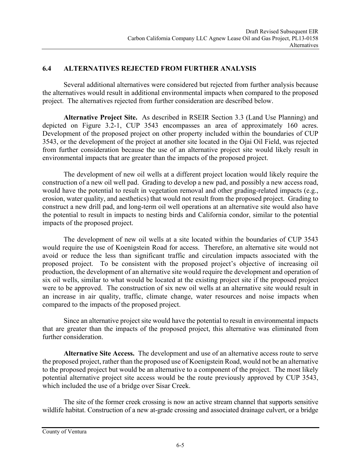#### **6.4 ALTERNATIVES REJECTED FROM FURTHER ANALYSIS**

 Several additional alternatives were considered but rejected from further analysis because the alternatives would result in additional environmental impacts when compared to the proposed project. The alternatives rejected from further consideration are described below.

**Alternative Project Site.** As described in RSEIR Section 3.3 (Land Use Planning) and depicted on Figure 3.2-1, CUP 3543 encompasses an area of approximately 160 acres. Development of the proposed project on other property included within the boundaries of CUP 3543, or the development of the project at another site located in the Ojai Oil Field, was rejected from further consideration because the use of an alternative project site would likely result in environmental impacts that are greater than the impacts of the proposed project.

 The development of new oil wells at a different project location would likely require the construction of a new oil well pad. Grading to develop a new pad, and possibly a new access road, would have the potential to result in vegetation removal and other grading-related impacts (e.g., erosion, water quality, and aesthetics) that would not result from the proposed project. Grading to construct a new drill pad, and long-term oil well operations at an alternative site would also have the potential to result in impacts to nesting birds and California condor, similar to the potential impacts of the proposed project.

 The development of new oil wells at a site located within the boundaries of CUP 3543 would require the use of Koenigstein Road for access. Therefore, an alternative site would not avoid or reduce the less than significant traffic and circulation impacts associated with the proposed project. To be consistent with the proposed project's objective of increasing oil production, the development of an alternative site would require the development and operation of six oil wells, similar to what would be located at the existing project site if the proposed project were to be approved. The construction of six new oil wells at an alternative site would result in an increase in air quality, traffic, climate change, water resources and noise impacts when compared to the impacts of the proposed project.

Since an alternative project site would have the potential to result in environmental impacts that are greater than the impacts of the proposed project, this alternative was eliminated from further consideration.

**Alternative Site Access.** The development and use of an alternative access route to serve the proposed project, rather than the proposed use of Koenigstein Road, would not be an alternative to the proposed project but would be an alternative to a component of the project. The most likely potential alternative project site access would be the route previously approved by CUP 3543, which included the use of a bridge over Sisar Creek.

The site of the former creek crossing is now an active stream channel that supports sensitive wildlife habitat. Construction of a new at-grade crossing and associated drainage culvert, or a bridge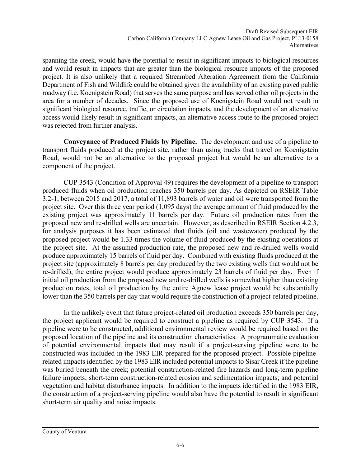spanning the creek, would have the potential to result in significant impacts to biological resources and would result in impacts that are greater than the biological resource impacts of the proposed project. It is also unlikely that a required Streambed Alteration Agreement from the California Department of Fish and Wildlife could be obtained given the availability of an existing paved public roadway (i.e. Koenigstein Road) that serves the same purpose and has served other oil projects in the area for a number of decades. Since the proposed use of Koenigstein Road would not result in significant biological resource, traffic, or circulation impacts, and the development of an alternative access would likely result in significant impacts, an alternative access route to the proposed project was rejected from further analysis.

**Conveyance of Produced Fluids by Pipeline.** The development and use of a pipeline to transport fluids produced at the project site, rather than using trucks that travel on Koenigstein Road, would not be an alternative to the proposed project but would be an alternative to a component of the project.

CUP 3543 (Condition of Approval 49) requires the development of a pipeline to transport produced fluids when oil production reaches 350 barrels per day. As depicted on RSEIR Table 3.2-1, between 2015 and 2017, a total of 11,893 barrels of water and oil were transported from the project site. Over this three year period (1,095 days) the average amount of fluid produced by the existing project was approximately 11 barrels per day. Future oil production rates from the proposed new and re-drilled wells are uncertain. However, as described in RSEIR Section 4.2.3, for analysis purposes it has been estimated that fluids (oil and wastewater) produced by the proposed project would be 1.33 times the volume of fluid produced by the existing operations at the project site. At the assumed production rate, the proposed new and re-drilled wells would produce approximately 15 barrels of fluid per day. Combined with existing fluids produced at the project site (approximately 8 barrels per day produced by the two existing wells that would not be re-drilled), the entire project would produce approximately 23 barrels of fluid per day. Even if initial oil production from the proposed new and re-drilled wells is somewhat higher than existing production rates, total oil production by the entire Agnew lease project would be substantially lower than the 350 barrels per day that would require the construction of a project-related pipeline.

In the unlikely event that future project-related oil production exceeds 350 barrels per day, the project applicant would be required to construct a pipeline as required by CUP 3543. If a pipeline were to be constructed, additional environmental review would be required based on the proposed location of the pipeline and its construction characteristics. A programmatic evaluation of potential environmental impacts that may result if a project-serving pipeline were to be constructed was included in the 1983 EIR prepared for the proposed project. Possible pipelinerelated impacts identified by the 1983 EIR included potential impacts to Sisar Creek if the pipeline was buried beneath the creek; potential construction-related fire hazards and long-term pipeline failure impacts; short-term construction-related erosion and sedimentation impacts; and potential vegetation and habitat disturbance impacts. In addition to the impacts identified in the 1983 EIR, the construction of a project-serving pipeline would also have the potential to result in significant short-term air quality and noise impacts.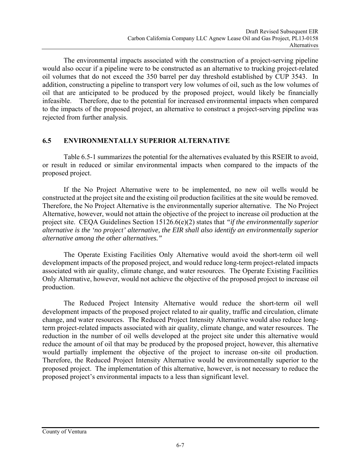The environmental impacts associated with the construction of a project-serving pipeline would also occur if a pipeline were to be constructed as an alternative to trucking project-related oil volumes that do not exceed the 350 barrel per day threshold established by CUP 3543. In addition, constructing a pipeline to transport very low volumes of oil, such as the low volumes of oil that are anticipated to be produced by the proposed project, would likely be financially infeasible. Therefore, due to the potential for increased environmental impacts when compared to the impacts of the proposed project, an alternative to construct a project-serving pipeline was rejected from further analysis.

## **6.5 ENVIRONMENTALLY SUPERIOR ALTERNATIVE**

 Table 6.5-1 summarizes the potential for the alternatives evaluated by this RSEIR to avoid, or result in reduced or similar environmental impacts when compared to the impacts of the proposed project.

 If the No Project Alternative were to be implemented, no new oil wells would be constructed at the project site and the existing oil production facilities at the site would be removed. Therefore, the No Project Alternative is the environmentally superior alternative. The No Project Alternative, however, would not attain the objective of the project to increase oil production at the project site. CEQA Guidelines Section 15126.6(e)(2) states that *"if the environmentally superior alternative is the 'no project' alternative, the EIR shall also identify an environmentally superior alternative among the other alternatives."* 

 The Operate Existing Facilities Only Alternative would avoid the short-term oil well development impacts of the proposed project, and would reduce long-term project-related impacts associated with air quality, climate change, and water resources. The Operate Existing Facilities Only Alternative, however, would not achieve the objective of the proposed project to increase oil production.

The Reduced Project Intensity Alternative would reduce the short-term oil well development impacts of the proposed project related to air quality, traffic and circulation, climate change, and water resources. The Reduced Project Intensity Alternative would also reduce longterm project-related impacts associated with air quality, climate change, and water resources. The reduction in the number of oil wells developed at the project site under this alternative would reduce the amount of oil that may be produced by the proposed project, however, this alternative would partially implement the objective of the project to increase on-site oil production. Therefore, the Reduced Project Intensity Alternative would be environmentally superior to the proposed project. The implementation of this alternative, however, is not necessary to reduce the proposed project's environmental impacts to a less than significant level.